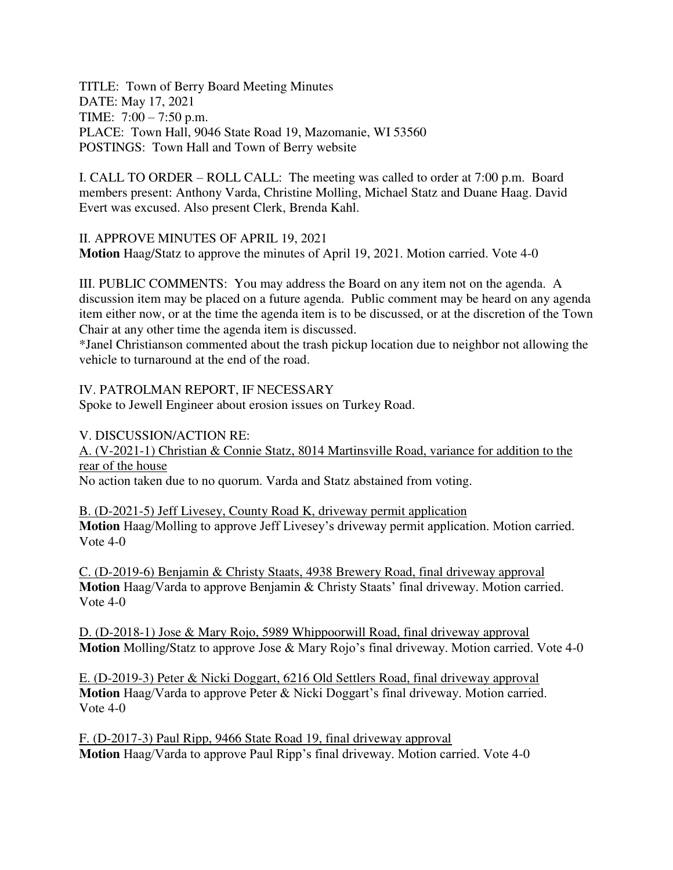TITLE: Town of Berry Board Meeting Minutes DATE: May 17, 2021 TIME: 7:00 – 7:50 p.m. PLACE: Town Hall, 9046 State Road 19, Mazomanie, WI 53560 POSTINGS: Town Hall and Town of Berry website

I. CALL TO ORDER – ROLL CALL: The meeting was called to order at 7:00 p.m. Board members present: Anthony Varda, Christine Molling, Michael Statz and Duane Haag. David Evert was excused. Also present Clerk, Brenda Kahl.

II. APPROVE MINUTES OF APRIL 19, 2021 **Motion** Haag/Statz to approve the minutes of April 19, 2021. Motion carried. Vote 4-0

III. PUBLIC COMMENTS: You may address the Board on any item not on the agenda. A discussion item may be placed on a future agenda. Public comment may be heard on any agenda item either now, or at the time the agenda item is to be discussed, or at the discretion of the Town Chair at any other time the agenda item is discussed.

\*Janel Christianson commented about the trash pickup location due to neighbor not allowing the vehicle to turnaround at the end of the road.

IV. PATROLMAN REPORT, IF NECESSARY

Spoke to Jewell Engineer about erosion issues on Turkey Road.

V. DISCUSSION/ACTION RE:

A. (V-2021-1) Christian & Connie Statz, 8014 Martinsville Road, variance for addition to the rear of the house

No action taken due to no quorum. Varda and Statz abstained from voting.

B. (D-2021-5) Jeff Livesey, County Road K, driveway permit application **Motion** Haag/Molling to approve Jeff Livesey's driveway permit application. Motion carried. Vote 4-0

C. (D-2019-6) Benjamin & Christy Staats, 4938 Brewery Road, final driveway approval **Motion** Haag/Varda to approve Benjamin & Christy Staats' final driveway. Motion carried. Vote 4-0

D. (D-2018-1) Jose & Mary Rojo, 5989 Whippoorwill Road, final driveway approval **Motion** Molling/Statz to approve Jose & Mary Rojo's final driveway. Motion carried. Vote 4-0

E. (D-2019-3) Peter & Nicki Doggart, 6216 Old Settlers Road, final driveway approval **Motion** Haag/Varda to approve Peter & Nicki Doggart's final driveway. Motion carried. Vote 4-0

F. (D-2017-3) Paul Ripp, 9466 State Road 19, final driveway approval **Motion** Haag/Varda to approve Paul Ripp's final driveway. Motion carried. Vote 4-0